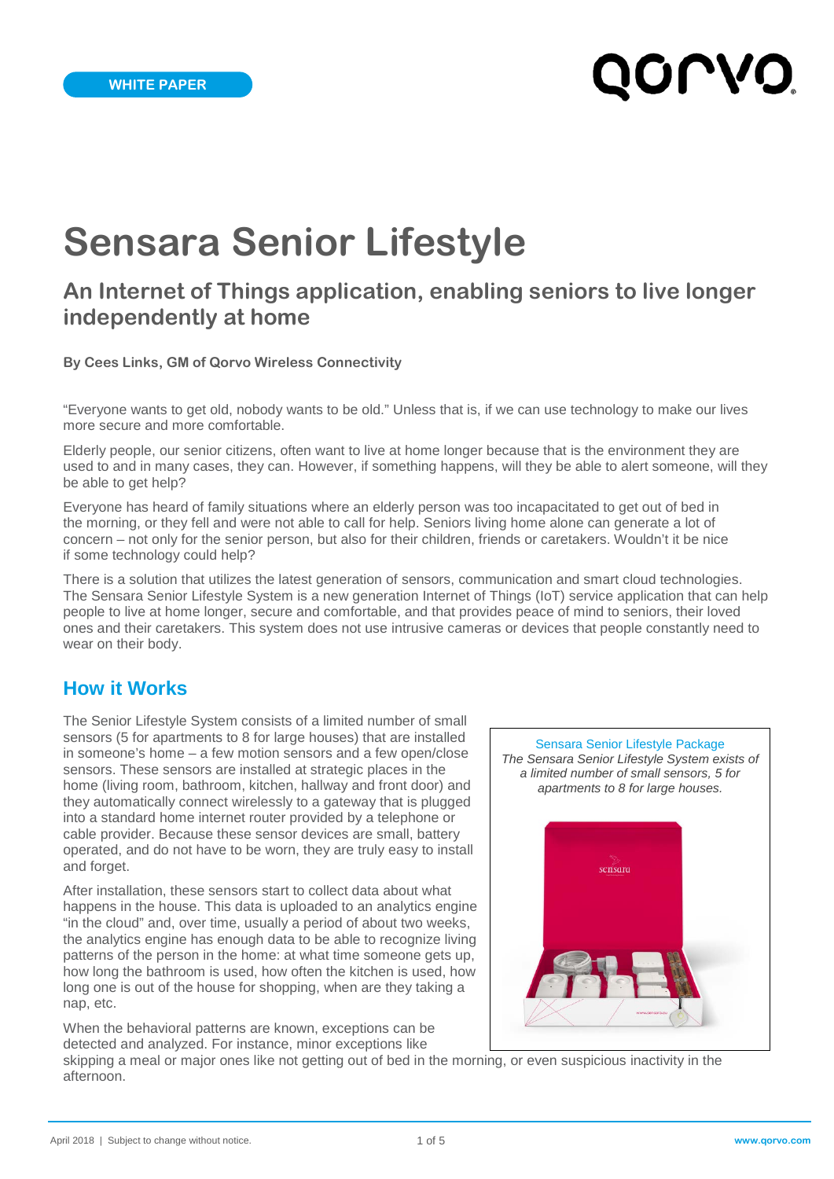# QOLVO

# **Sensara Senior Lifestyle**

# **An Internet of Things application, enabling seniors to live longer independently at home**

**By Cees Links, GM of Qorvo Wireless Connectivity**

"Everyone wants to get old, nobody wants to be old." Unless that is, if we can use technology to make our lives more secure and more comfortable.

Elderly people, our senior citizens, often want to live at home longer because that is the environment they are used to and in many cases, they can. However, if something happens, will they be able to alert someone, will they be able to get help?

Everyone has heard of family situations where an elderly person was too incapacitated to get out of bed in the morning, or they fell and were not able to call for help. Seniors living home alone can generate a lot of concern – not only for the senior person, but also for their children, friends or caretakers. Wouldn't it be nice if some technology could help?

There is a solution that utilizes the latest generation of sensors, communication and smart cloud technologies. The Sensara Senior Lifestyle System is a new generation Internet of Things (IoT) service application that can help people to live at home longer, secure and comfortable, and that provides peace of mind to seniors, their loved ones and their caretakers. This system does not use intrusive cameras or devices that people constantly need to wear on their body.

## **How it Works**

The Senior Lifestyle System consists of a limited number of small sensors (5 for apartments to 8 for large houses) that are installed in someone's home – a few motion sensors and a few open/close sensors. These sensors are installed at strategic places in the home (living room, bathroom, kitchen, hallway and front door) and they automatically connect wirelessly to a gateway that is plugged into a standard home internet router provided by a telephone or cable provider. Because these sensor devices are small, battery operated, and do not have to be worn, they are truly easy to install and forget.

After installation, these sensors start to collect data about what happens in the house. This data is uploaded to an analytics engine "in the cloud" and, over time, usually a period of about two weeks, the analytics engine has enough data to be able to recognize living patterns of the person in the home: at what time someone gets up, how long the bathroom is used, how often the kitchen is used, how long one is out of the house for shopping, when are they taking a nap, etc.

When the behavioral patterns are known, exceptions can be detected and analyzed. For instance, minor exceptions like



skipping a meal or major ones like not getting out of bed in the morning, or even suspicious inactivity in the afternoon.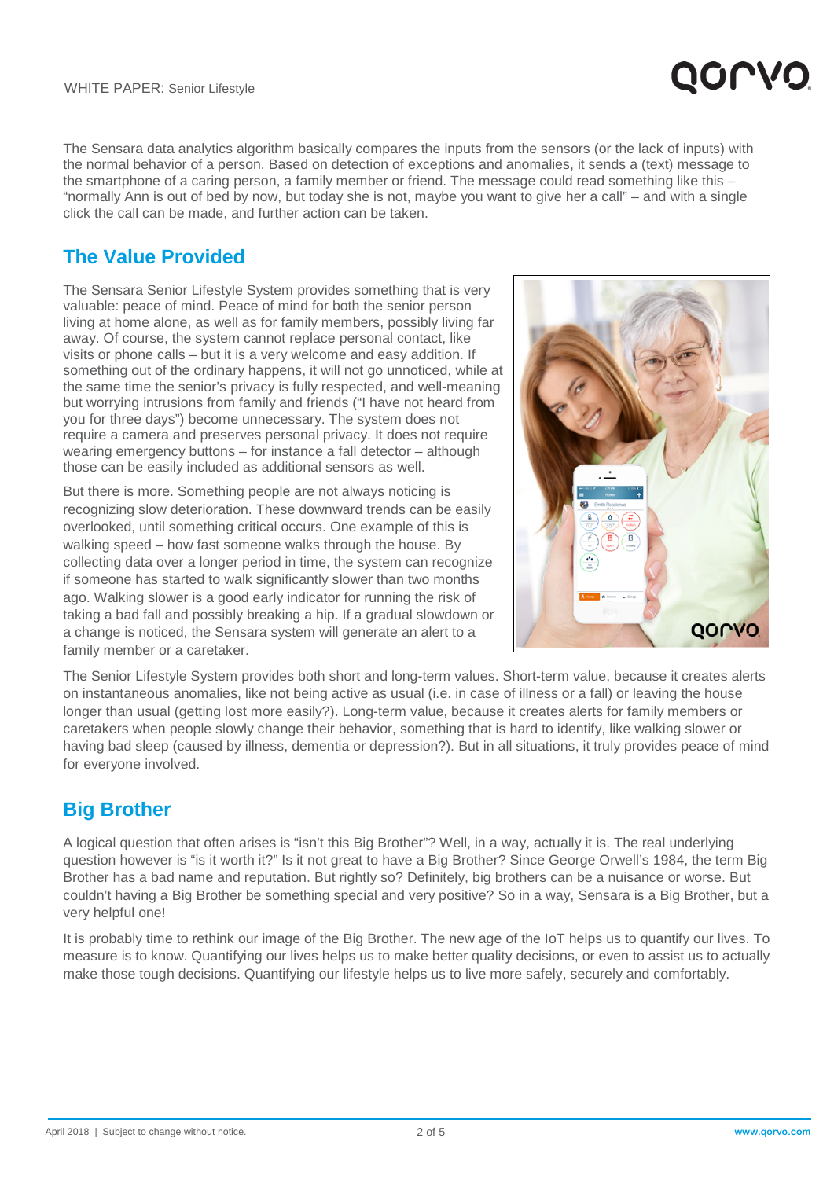The Sensara data analytics algorithm basically compares the inputs from the sensors (or the lack of inputs) with the normal behavior of a person. Based on detection of exceptions and anomalies, it sends a (text) message to the smartphone of a caring person, a family member or friend. The message could read something like this – "normally Ann is out of bed by now, but today she is not, maybe you want to give her a call" – and with a single click the call can be made, and further action can be taken.

# **The Value Provided**

The Sensara Senior Lifestyle System provides something that is very valuable: peace of mind. Peace of mind for both the senior person living at home alone, as well as for family members, possibly living far away. Of course, the system cannot replace personal contact, like visits or phone calls – but it is a very welcome and easy addition. If something out of the ordinary happens, it will not go unnoticed, while at the same time the senior's privacy is fully respected, and well-meaning but worrying intrusions from family and friends ("I have not heard from you for three days") become unnecessary. The system does not require a camera and preserves personal privacy. It does not require wearing emergency buttons – for instance a fall detector – although those can be easily included as additional sensors as well.

But there is more. Something people are not always noticing is recognizing slow deterioration. These downward trends can be easily overlooked, until something critical occurs. One example of this is walking speed – how fast someone walks through the house. By collecting data over a longer period in time, the system can recognize if someone has started to walk significantly slower than two months ago. Walking slower is a good early indicator for running the risk of taking a bad fall and possibly breaking a hip. If a gradual slowdown or a change is noticed, the Sensara system will generate an alert to a family member or a caretaker.



QOLV

The Senior Lifestyle System provides both short and long-term values. Short-term value, because it creates alerts on instantaneous anomalies, like not being active as usual (i.e. in case of illness or a fall) or leaving the house longer than usual (getting lost more easily?). Long-term value, because it creates alerts for family members or caretakers when people slowly change their behavior, something that is hard to identify, like walking slower or having bad sleep (caused by illness, dementia or depression?). But in all situations, it truly provides peace of mind for everyone involved.

# **Big Brother**

A logical question that often arises is "isn't this Big Brother"? Well, in a way, actually it is. The real underlying question however is "is it worth it?" Is it not great to have a Big Brother? Since George Orwell's 1984, the term Big Brother has a bad name and reputation. But rightly so? Definitely, big brothers can be a nuisance or worse. But couldn't having a Big Brother be something special and very positive? So in a way, Sensara is a Big Brother, but a very helpful one!

It is probably time to rethink our image of the Big Brother. The new age of the IoT helps us to quantify our lives. To measure is to know. Quantifying our lives helps us to make better quality decisions, or even to assist us to actually make those tough decisions. Quantifying our lifestyle helps us to live more safely, securely and comfortably.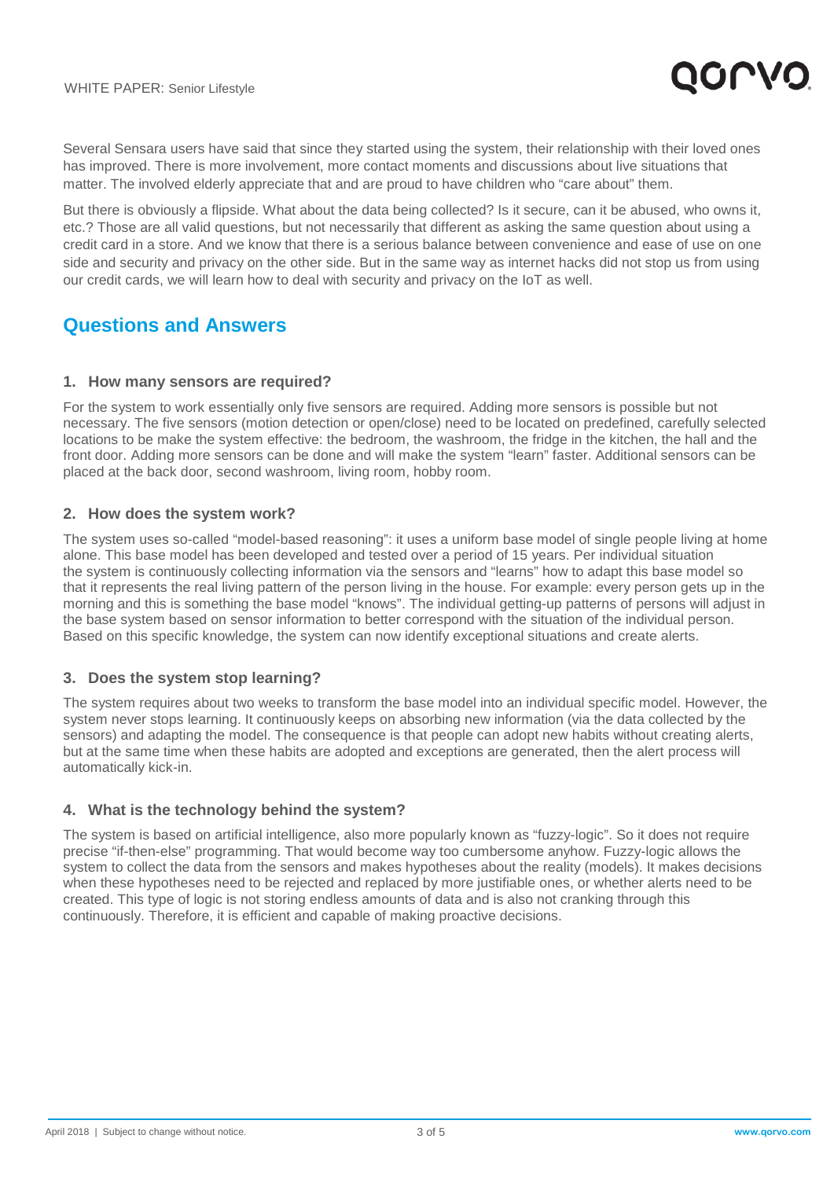

Several Sensara users have said that since they started using the system, their relationship with their loved ones has improved. There is more involvement, more contact moments and discussions about live situations that matter. The involved elderly appreciate that and are proud to have children who "care about" them.

But there is obviously a flipside. What about the data being collected? Is it secure, can it be abused, who owns it, etc.? Those are all valid questions, but not necessarily that different as asking the same question about using a credit card in a store. And we know that there is a serious balance between convenience and ease of use on one side and security and privacy on the other side. But in the same way as internet hacks did not stop us from using our credit cards, we will learn how to deal with security and privacy on the IoT as well.

## **Questions and Answers**

#### **1. How many sensors are required?**

For the system to work essentially only five sensors are required. Adding more sensors is possible but not necessary. The five sensors (motion detection or open/close) need to be located on predefined, carefully selected locations to be make the system effective: the bedroom, the washroom, the fridge in the kitchen, the hall and the front door. Adding more sensors can be done and will make the system "learn" faster. Additional sensors can be placed at the back door, second washroom, living room, hobby room.

#### **2. How does the system work?**

The system uses so-called "model-based reasoning": it uses a uniform base model of single people living at home alone. This base model has been developed and tested over a period of 15 years. Per individual situation the system is continuously collecting information via the sensors and "learns" how to adapt this base model so that it represents the real living pattern of the person living in the house. For example: every person gets up in the morning and this is something the base model "knows". The individual getting-up patterns of persons will adjust in the base system based on sensor information to better correspond with the situation of the individual person. Based on this specific knowledge, the system can now identify exceptional situations and create alerts.

#### **3. Does the system stop learning?**

The system requires about two weeks to transform the base model into an individual specific model. However, the system never stops learning. It continuously keeps on absorbing new information (via the data collected by the sensors) and adapting the model. The consequence is that people can adopt new habits without creating alerts, but at the same time when these habits are adopted and exceptions are generated, then the alert process will automatically kick-in.

#### **4. What is the technology behind the system?**

The system is based on artificial intelligence, also more popularly known as "fuzzy-logic". So it does not require precise "if-then-else" programming. That would become way too cumbersome anyhow. Fuzzy-logic allows the system to collect the data from the sensors and makes hypotheses about the reality (models). It makes decisions when these hypotheses need to be rejected and replaced by more justifiable ones, or whether alerts need to be created. This type of logic is not storing endless amounts of data and is also not cranking through this continuously. Therefore, it is efficient and capable of making proactive decisions.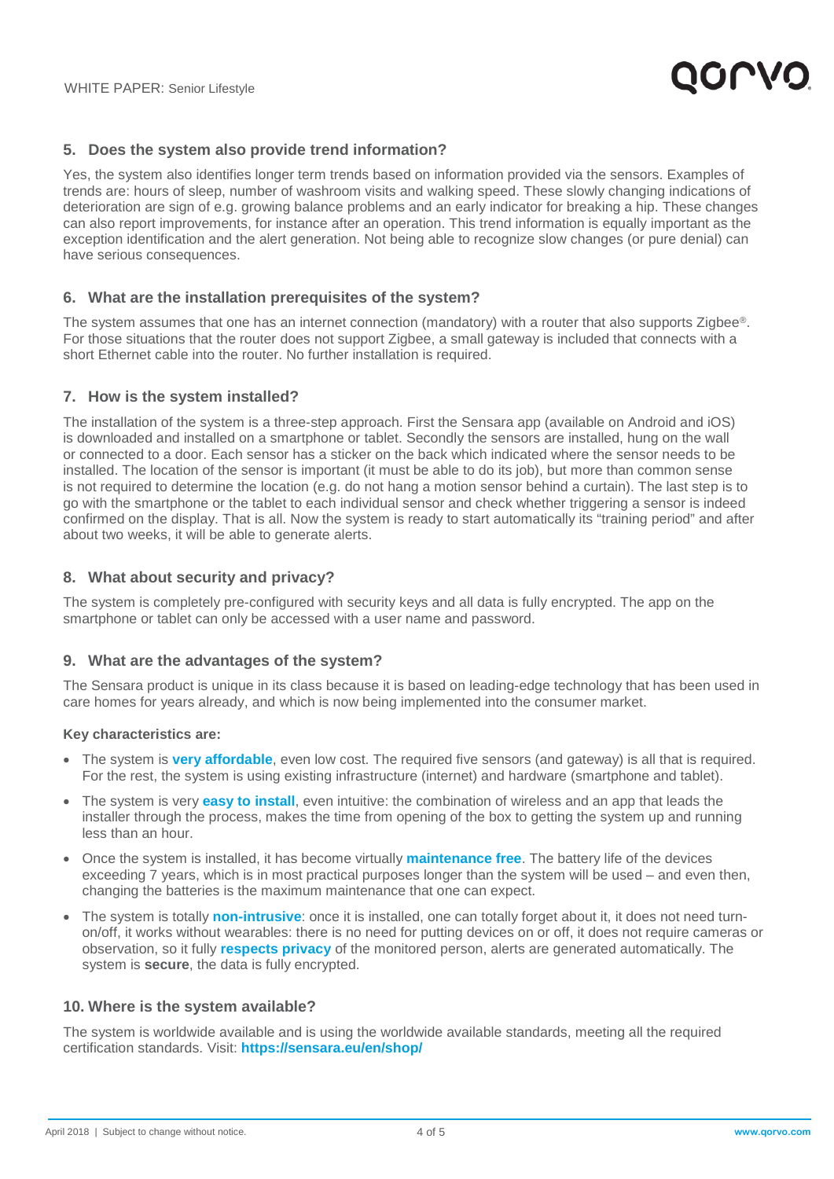

#### **5. Does the system also provide trend information?**

Yes, the system also identifies longer term trends based on information provided via the sensors. Examples of trends are: hours of sleep, number of washroom visits and walking speed. These slowly changing indications of deterioration are sign of e.g. growing balance problems and an early indicator for breaking a hip. These changes can also report improvements, for instance after an operation. This trend information is equally important as the exception identification and the alert generation. Not being able to recognize slow changes (or pure denial) can have serious consequences.

#### **6. What are the installation prerequisites of the system?**

The system assumes that one has an internet connection (mandatory) with a router that also supports Zigbee®. For those situations that the router does not support Zigbee, a small gateway is included that connects with a short Ethernet cable into the router. No further installation is required.

#### **7. How is the system installed?**

The installation of the system is a three-step approach. First the Sensara app (available on Android and iOS) is downloaded and installed on a smartphone or tablet. Secondly the sensors are installed, hung on the wall or connected to a door. Each sensor has a sticker on the back which indicated where the sensor needs to be installed. The location of the sensor is important (it must be able to do its job), but more than common sense is not required to determine the location (e.g. do not hang a motion sensor behind a curtain). The last step is to go with the smartphone or the tablet to each individual sensor and check whether triggering a sensor is indeed confirmed on the display. That is all. Now the system is ready to start automatically its "training period" and after about two weeks, it will be able to generate alerts.

#### **8. What about security and privacy?**

The system is completely pre-configured with security keys and all data is fully encrypted. The app on the smartphone or tablet can only be accessed with a user name and password.

#### **9. What are the advantages of the system?**

The Sensara product is unique in its class because it is based on leading-edge technology that has been used in care homes for years already, and which is now being implemented into the consumer market.

#### **Key characteristics are:**

- The system is **very affordable**, even low cost. The required five sensors (and gateway) is all that is required. For the rest, the system is using existing infrastructure (internet) and hardware (smartphone and tablet).
- The system is very **easy to install**, even intuitive: the combination of wireless and an app that leads the installer through the process, makes the time from opening of the box to getting the system up and running less than an hour.
- Once the system is installed, it has become virtually **maintenance free**. The battery life of the devices exceeding 7 years, which is in most practical purposes longer than the system will be used – and even then, changing the batteries is the maximum maintenance that one can expect.
- The system is totally **non-intrusive**: once it is installed, one can totally forget about it, it does not need turnon/off, it works without wearables: there is no need for putting devices on or off, it does not require cameras or observation, so it fully **respects privacy** of the monitored person, alerts are generated automatically. The system is **secure**, the data is fully encrypted.

#### **10. Where is the system available?**

The system is worldwide available and is using the worldwide available standards, meeting all the required certification standards. Visit: **<https://sensara.eu/en/shop/>**